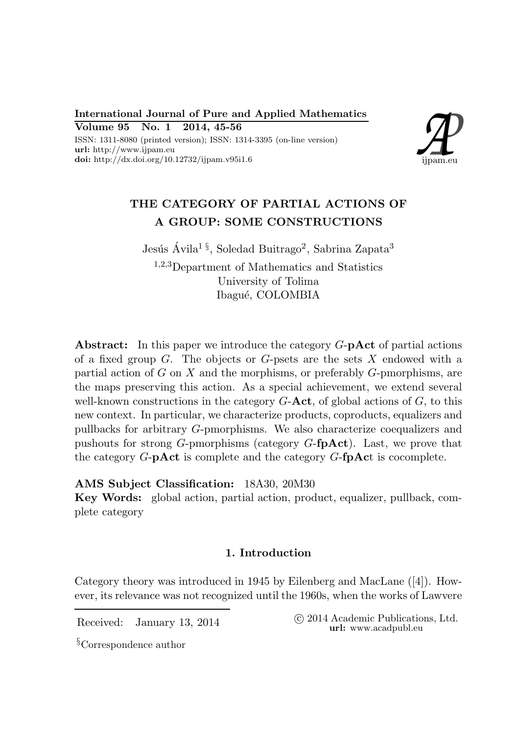International Journal of Pure and Applied Mathematics Volume 95 No. 1 2014, 45-56

ISSN: 1311-8080 (printed version); ISSN: 1314-3395 (on-line version) url: http://www.ijpam.eu doi: http://dx.doi.org/10.12732/ijpam.v95i1.6



# THE CATEGORY OF PARTIAL ACTIONS OF A GROUP: SOME CONSTRUCTIONS

Jesús Ávila $^1$ <sup>§</sup>, Soledad Buitrago<sup>2</sup>, Sabrina Zapata<sup>3</sup> <sup>1</sup>,2,3Department of Mathematics and Statistics University of Tolima Ibagué, COLOMBIA

Abstract: In this paper we introduce the category  $G$ -pAct of partial actions of a fixed group  $G$ . The objects or  $G$ -psets are the sets  $X$  endowed with a partial action of  $G$  on  $X$  and the morphisms, or preferably  $G$ -pmorphisms, are the maps preserving this action. As a special achievement, we extend several well-known constructions in the category  $G$ -**Act**, of global actions of  $G$ , to this new context. In particular, we characterize products, coproducts, equalizers and pullbacks for arbitrary G-pmorphisms. We also characterize coequalizers and pushouts for strong G-pmorphisms (category  $G$ -fpAct). Last, we prove that the category  $G$ -**pAct** is complete and the category  $G$ -**fpAct** is cocomplete.

AMS Subject Classification: 18A30, 20M30

Key Words: global action, partial action, product, equalizer, pullback, complete category

# 1. Introduction

Category theory was introduced in 1945 by Eilenberg and MacLane ([4]). However, its relevance was not recognized until the 1960s, when the works of Lawvere

Received: January 13, 2014 (C 2014 Academic Publications, Ltd. url: www.acadpubl.eu

§Correspondence author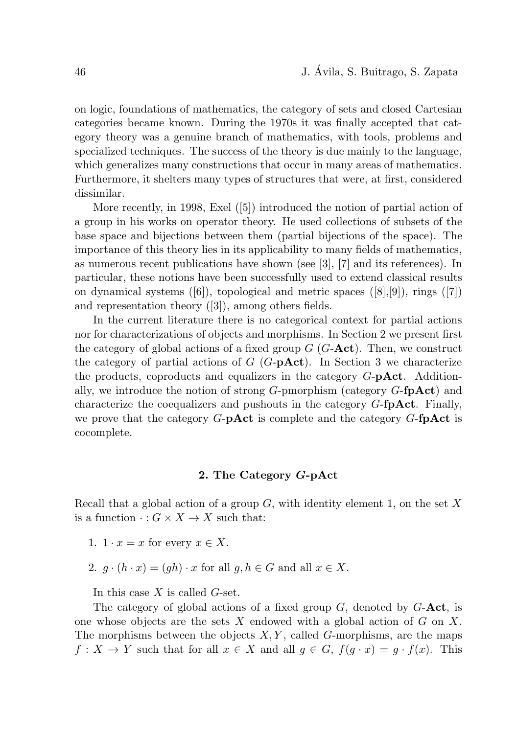on logic, foundations of mathematics, the category of sets and closed Cartesian categories became known. During the 1970s it was finally accepted that category theory was a genuine branch of mathematics, with tools, problems and specialized techniques. The success of the theory is due mainly to the language, which generalizes many constructions that occur in many areas of mathematics. Furthermore, it shelters many types of structures that were, at first, considered dissimilar.

More recently, in 1998, Exel ([5]) introduced the notion of partial action of a group in his works on operator theory. He used collections of subsets of the base space and bijections between them (partial bijections of the space). The importance of this theory lies in its applicability to many fields of mathematics, as numerous recent publications have shown (see [3], [7] and its references). In particular, these notions have been successfully used to extend classical results on dynamical systems  $([6])$ , topological and metric spaces  $([8],[9])$ , rings  $([7])$ and representation theory ([3]), among others fields.

In the current literature there is no categorical context for partial actions nor for characterizations of objects and morphisms. In Section 2 we present first the category of global actions of a fixed group  $G$  ( $G$ - $\textbf{Act}$ ). Then, we construct the category of partial actions of  $G$  ( $G$ -**pAct**). In Section 3 we characterize the products, coproducts and equalizers in the category  $G$ -p $\textbf{Act}$ . Additionally, we introduce the notion of strong  $G$ -pmorphism (category  $G$ -**fpAct**) and characterize the coequalizers and pushouts in the category  $G$ -fpAct. Finally, we prove that the category  $G$ -**pAct** is complete and the category  $G$ -**fpAct** is cocomplete.

#### 2. The Category G-pAct

Recall that a global action of a group  $G$ , with identity element 1, on the set X is a function  $\cdot : G \times X \to X$  such that:

- 1.  $1 \cdot x = x$  for every  $x \in X$ .
- 2.  $g \cdot (h \cdot x) = (gh) \cdot x$  for all  $g, h \in G$  and all  $x \in X$ .

In this case  $X$  is called  $G$ -set.

The category of global actions of a fixed group  $G$ , denoted by  $G$ -**Act**, is one whose objects are the sets  $X$  endowed with a global action of  $G$  on  $X$ . The morphisms between the objects  $X, Y$ , called G-morphisms, are the maps  $f: X \to Y$  such that for all  $x \in X$  and all  $g \in G$ ,  $f(g \cdot x) = g \cdot f(x)$ . This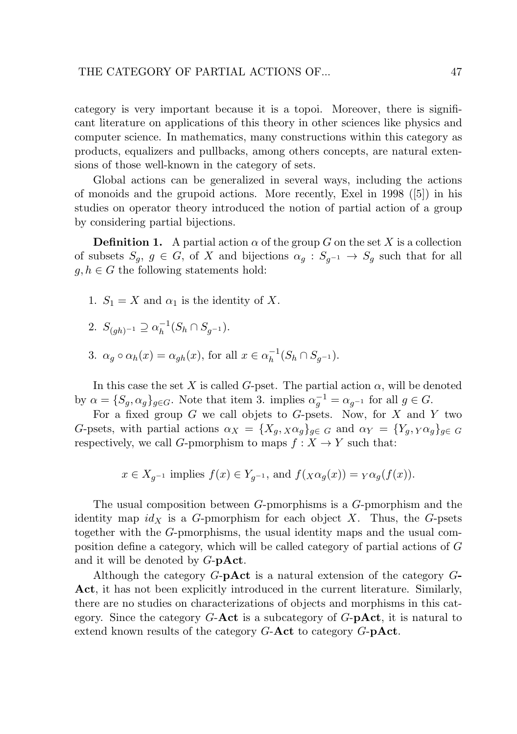category is very important because it is a topoi. Moreover, there is significant literature on applications of this theory in other sciences like physics and computer science. In mathematics, many constructions within this category as products, equalizers and pullbacks, among others concepts, are natural extensions of those well-known in the category of sets.

Global actions can be generalized in several ways, including the actions of monoids and the grupoid actions. More recently, Exel in 1998 ([5]) in his studies on operator theory introduced the notion of partial action of a group by considering partial bijections.

**Definition 1.** A partial action  $\alpha$  of the group G on the set X is a collection of subsets  $S_q$ ,  $g \in G$ , of X and bijections  $\alpha_q : S_{q^{-1}} \to S_q$  such that for all  $g, h \in G$  the following statements hold:

- 1.  $S_1 = X$  and  $\alpha_1$  is the identity of X.
- 2.  $S_{(gh)^{-1}} \supseteq \alpha_h^{-1}(S_h \cap S_{g^{-1}}).$
- 3.  $\alpha_g \circ \alpha_h(x) = \alpha_{gh}(x)$ , for all  $x \in \alpha_h^{-1}$  $_{h}^{-1}(S_h \cap S_{g^{-1}}).$

In this case the set X is called G-pset. The partial action  $\alpha$ , will be denoted by  $\alpha = \{S_g, \alpha_g\}_{g \in G}$ . Note that item 3. implies  $\alpha_g^{-1} = \alpha_{g^{-1}}$  for all  $g \in G$ .

For a fixed group  $G$  we call objets to  $G$ -psets. Now, for  $X$  and  $Y$  two G-psets, with partial actions  $\alpha_X = \{X_q, X\alpha_q\}_{q\in G}$  and  $\alpha_Y = \{Y_q, Y\alpha_q\}_{q\in G}$ respectively, we call G-pmorphism to maps  $f : X \to Y$  such that:

$$
x \in X_{g^{-1}}
$$
 implies  $f(x) \in Y_{g^{-1}}$ , and  $f(x \alpha_g(x)) = Y \alpha_g(f(x))$ .

The usual composition between G-pmorphisms is a G-pmorphism and the identity map  $id_X$  is a G-pmorphism for each object X. Thus, the G-psets together with the G-pmorphisms, the usual identity maps and the usual composition define a category, which will be called category of partial actions of G and it will be denoted by  $G$ -pAct.

Although the category  $G$ -**pAct** is a natural extension of the category  $G$ -Act, it has not been explicitly introduced in the current literature. Similarly, there are no studies on characterizations of objects and morphisms in this category. Since the category  $G$ -**Act** is a subcategory of  $G$ -**pAct**, it is natural to extend known results of the category G-Act to category G-pAct.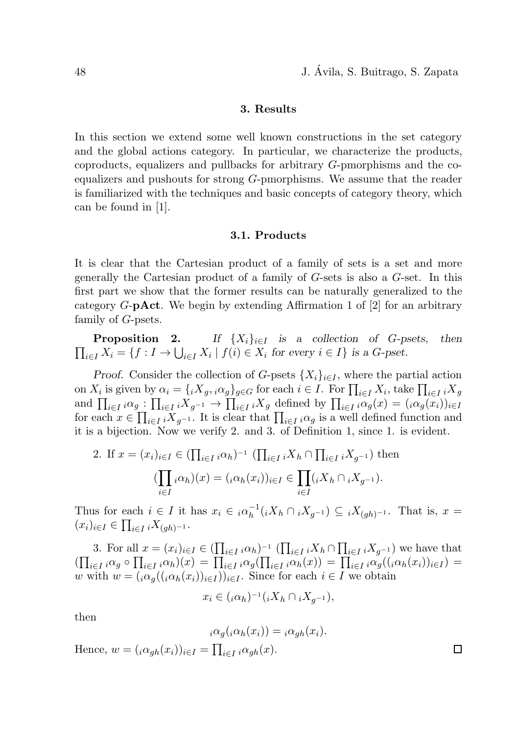$\Box$ 

## 3. Results

In this section we extend some well known constructions in the set category and the global actions category. In particular, we characterize the products, coproducts, equalizers and pullbacks for arbitrary G-pmorphisms and the coequalizers and pushouts for strong G-pmorphisms. We assume that the reader is familiarized with the techniques and basic concepts of category theory, which can be found in [1].

### 3.1. Products

It is clear that the Cartesian product of a family of sets is a set and more generally the Cartesian product of a family of G-sets is also a G-set. In this first part we show that the former results can be naturally generalized to the category  $G$ -**pAct**. We begin by extending Affirmation 1 of  $[2]$  for an arbitrary family of G-psets.

**Proposition 2.** *If*  $\{X_i\}_{i\in I}$  *is a collection of G-psets, then*  $\prod_{i\in I} X_i = \{f : I \to \bigcup_{i\in I} X_i \mid f(i) \in X_i \text{ for every } i \in I\} \text{ is a } G\text{-pset.}$ 

*Proof.* Consider the collection of G-psets  $\{X_i\}_{i\in I}$ , where the partial action on  $X_i$  is given by  $\alpha_i = \{iX_g, i\alpha_g\}_{g \in G}$  for each  $i \in I$ . For  $\prod_{i \in I} X_i$ , take  $\prod_{i \in I} iX_g$ and  $\prod_{i\in I} i\alpha_g : \prod_{i\in I} iX_{g^{-1}} \to \prod_{i\in I} iX_g$  defined by  $\prod_{i\in I} i\alpha_g(x) = (i\alpha_g(x_i))_{i\in I}$ for each  $x \in \prod_{i \in I} iX_{g^{-1}}$ . It is clear that  $\prod_{i \in I} i\alpha_g$  is a well defined function and it is a bijection. Now we verify 2. and 3. of Definition 1, since 1. is evident.

2. If 
$$
x = (x_i)_{i \in I} \in (\prod_{i \in I} i \alpha_h)^{-1} (\prod_{i \in I} i X_h \cap \prod_{i \in I} i X_{g^{-1}})
$$
 then  
\n
$$
(\prod_{i \in I} i \alpha_h)(x) = (i \alpha_h(x_i))_{i \in I} \in \prod_{i \in I} (i X_h \cap i X_{g^{-1}}).
$$

Thus for each  $i \in I$  it has  $x_i \in i \alpha_h^{-1}(iX_h \cap iX_{g^{-1}}) \subseteq iX_{(gh)^{-1}}$ . That is,  $x =$  $(x_i)_{i\in I} \in \prod_{i\in I} iX_{(gh)^{-1}}.$ 

3. For all  $x = (x_i)_{i \in I} \in (\prod_{i \in I} i \alpha_h)^{-1} (\prod_{i \in I} i X_h \cap \prod_{i \in I} i X_{g^{-1}})$  we have that  $\left(\prod_{i\in I} \sum_{i\alpha} \sigma_i\right) \prod_{i\in I} \sum_{i\alpha} \sigma_i\right) = \prod_{i\in I} \sum_{i\alpha} \sigma_i(x_i) = \prod_{i\in I} \sum_{i\alpha} \sigma_i(\sigma_i(x_i))_{i\in I} =$ w with  $w = (i \alpha_q((i \alpha_h(x_i))_{i \in I}))_{i \in I}$ . Since for each  $i \in I$  we obtain

$$
x_i \in ({}_{i}\alpha_h)^{-1}({}_{i}X_h \cap {}_{i}X_{g^{-1}}),
$$

then

$$
i\alpha_g(i\alpha_h(x_i)) = i\alpha_{gh}(x_i).
$$

Hence,  $w = (i \alpha_{gh}(x_i))_{i \in I} = \prod_{i \in I} i \alpha_{gh}(x)$ .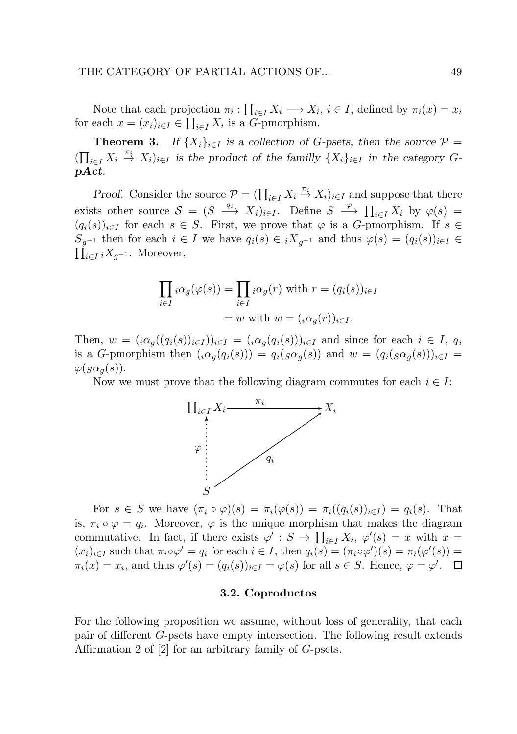Note that each projection  $\pi_i: \prod_{i \in I} X_i \longrightarrow X_i, i \in I$ , defined by  $\pi_i(x) = x_i$ for each  $x = (x_i)_{i \in I} \in \prod_{i \in I} X_i$  is a *G*-pmorphism.

**Theorem 3.** *If*  $\{X_i\}_{i\in I}$  *is a collection of G-psets, then the source*  $P =$  $(\prod_{i\in I} X_i \stackrel{\pi_i}{\to} X_i)_{i\in I}$  *is the product of the familly*  $\{X_i\}_{i\in I}$  *in the category G*pAct*.*

*Proof.* Consider the source  $\mathcal{P} = (\prod_{i \in I} X_i \stackrel{\pi_i}{\to} X_i)_{i \in I}$  and suppose that there exists other source  $S = (S \xrightarrow{q_i} X_i)_{i \in I}$ . Define  $S \xrightarrow{\varphi} \prod_{i \in I} X_i$  by  $\varphi(s) =$  $(q_i(s))_{i\in I}$  for each  $s \in S$ . First, we prove that  $\varphi$  is a G-pmorphism. If  $s \in$  $S_{q^{-1}}$  then for each  $i \in I$  we have  $q_i(s) \in iX_{q^{-1}}$  and thus  $\varphi(s) = (q_i(s))_{i \in I} \in$  $\prod_{i\in I} iX_{g^{-1}}$ . Moreover,

$$
\prod_{i \in I} i \alpha_g(\varphi(s)) = \prod_{i \in I} i \alpha_g(r) \text{ with } r = (q_i(s))_{i \in I}
$$

$$
= w \text{ with } w = (i \alpha_g(r))_{i \in I}.
$$

Then,  $w = (i\alpha_q((q_i(s))_{i\in I}))_{i\in I} = (i\alpha_q(q_i(s)))_{i\in I}$  and since for each  $i \in I$ ,  $q_i$ is a G-pmorphism then  $(i\alpha_g(q_i(s))) = q_i(s\alpha_g(s))$  and  $w = (q_i(s\alpha_g(s)))_{i\in I}$  $\varphi(g\alpha_q(s)).$ 

Now we must prove that the following diagram commutes for each  $i \in I$ :



For  $s \in S$  we have  $(\pi_i \circ \varphi)(s) = \pi_i(\varphi(s)) = \pi_i((q_i(s))_{i \in I}) = q_i(s)$ . That is,  $\pi_i \circ \varphi = q_i$ . Moreover,  $\varphi$  is the unique morphism that makes the diagram commutative. In fact, if there exists  $\varphi' : S \to \prod_{i \in I} X_i$ ,  $\varphi'(s) = x$  with  $x =$  $(x_i)_{i\in I}$  such that  $\pi_i \circ \varphi' = q_i$  for each  $i \in I$ , then  $q_i(s) = (\pi_i \circ \varphi')(s) = \pi_i(\varphi'(s)) =$  $\pi_i(x) = x_i$ , and thus  $\varphi'(s) = (q_i(s))_{i \in I} = \varphi(s)$  for all  $s \in S$ . Hence,  $\varphi = \varphi'$ .

#### 3.2. Coproductos

For the following proposition we assume, without loss of generality, that each pair of different G-psets have empty intersection. The following result extends Affirmation 2 of [2] for an arbitrary family of G-psets.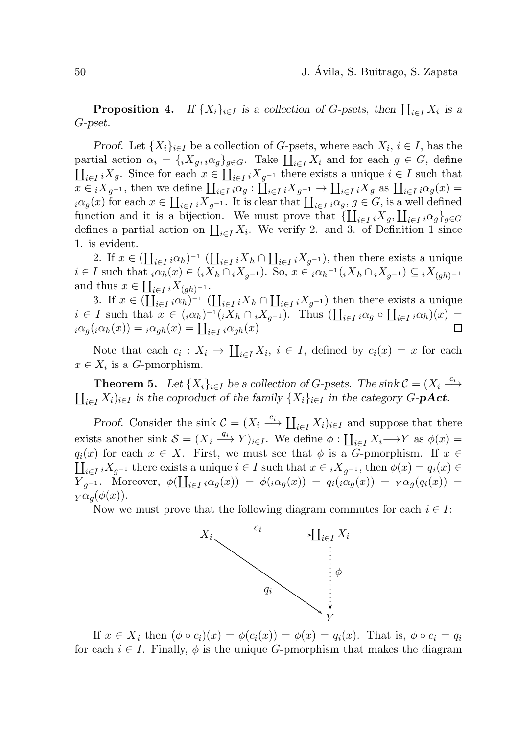**Proposition 4.** If  $\{X_i\}_{i\in I}$  is a collection of G-psets, then  $\prod_{i\in I} X_i$  is a G*-pset.*

*Proof.* Let  $\{X_i\}_{i\in I}$  be a collection of G-psets, where each  $X_i, i \in I$ , has the partial action  $\alpha_i = \{iX_g, i\alpha_g\}_{g \in G}$ . Take  $\prod_{i \in I} X_i$  and for each  $g \in G$ , define  $\coprod_{i\in I} {}_{i}X_{g}$ . Since for each  $x \in \coprod_{i\in I} {}_{i}X_{g^{-1}}$  there exists a unique  $i \in I$  such that  $x \in iX_{g^{-1}}$ , then we define  $\coprod_{i \in I} i\alpha_g : \coprod_{i \in I} iX_{g^{-1}} \to \coprod_{i \in I} iX_g$  as  $\coprod_{i \in I} i\alpha_g(x) =$  $i\alpha_g(x)$  for each  $x \in \coprod_{i \in I} {}_iX_g$ -1. It is clear that  $\coprod_{i \in I} {}_i\alpha_g$ ,  $g \in G$ , is a well defined function and it is a bijection. We must prove that  $\{\prod_{i\in I} iX_g, \prod_{i\in I} i\alpha_g\}_{g\in G}$ defines a partial action on  $\coprod_{i\in I} X_i$ . We verify 2. and 3. of Definition 1 since 1. is evident.

2. If  $x \in (\coprod_{i \in I} i \alpha_h)^{-1} (\coprod_{i \in I} i X_h \cap \coprod_{i \in I} i X_{g^{-1}})$ , then there exists a unique  $i \in I$  such that  $i\alpha_h(x) \in (iX_h \cap iX_{g^{-1}})$ . So,  $x \in i\alpha_h^{-1}(iX_h \cap iX_{g^{-1}}) \subseteq iX_{(gh)^{-1}}$ and thus  $x \in \coprod_{i \in I} iX_{(gh)^{-1}}$ .

3. If  $x \in (\coprod_{i \in I} {}_{i} \alpha_{h})^{-1}$   $(\coprod_{i \in I} {}_{i} X_{h} \cap \coprod_{i \in I} {}_{i} X_{g^{-1}})$  then there exists a unique  $i \in I$  such that  $x \in (i \alpha_h)^{-1} (i X_h \cap i X_{g^{-1}})$ . Thus  $(\prod_{i \in I} i \alpha_g \circ \prod_{i \in I} i \alpha_h)(x) =$  $i\alpha_g(i\alpha_h(x)) = i\alpha_{gh}(x) = \coprod_{i\in I} i\alpha_{gh}(x)$ 

Note that each  $c_i: X_i \to \coprod_{i \in I} X_i, i \in I$ , defined by  $c_i(x) = x$  for each  $x \in X_i$  is a *G*-pmorphism.

**Theorem 5.** Let  $\{X_i\}_{i\in I}$  be a collection of G-psets. The sink  $C = (X_i \xrightarrow{c_i}$  $\coprod_{i\in I} X_i)_{i\in I}$  *is the coproduct of the family*  $\{X_i\}_{i\in I}$  *in the category* G-**pAct**.

*Proof.* Consider the sink  $\mathcal{C} = (X_i \stackrel{c_i}{\longrightarrow} \prod_{i \in I} X_i)_{i \in I}$  and suppose that there exists another sink  $S = (X_i \xrightarrow{q_i} Y)_{i \in I}$ . We define  $\phi : \coprod_{i \in I} X_i \longrightarrow Y$  as  $\phi(x) =$  $q_i(x)$  for each  $x \in X$ . First, we must see that  $\phi$  is a G-pmorphism. If  $x \in$  $\coprod_{i\in I} {}_{i}X_{g^{-1}}$  there exists a unique  $i\in I$  such that  $x\in {}_{i}X_{g^{-1}}$ , then  $\phi(x)=q_i(x)\in I$  $Y_{g^{-1}}$ . Moreover,  $\phi(\coprod_{i\in I} {}_i\alpha_g(x)) = \phi({}_i\alpha_g(x)) = q_i({}_i\alpha_g(x)) = {}_Y\alpha_g(q_i(x)) =$  $Y\alpha_q(\phi(x)).$ 

Now we must prove that the following diagram commutes for each  $i \in I$ :



If  $x \in X_i$  then  $(\phi \circ c_i)(x) = \phi(c_i(x)) = \phi(x) = q_i(x)$ . That is,  $\phi \circ c_i = q_i$ for each  $i \in I$ . Finally,  $\phi$  is the unique G-pmorphism that makes the diagram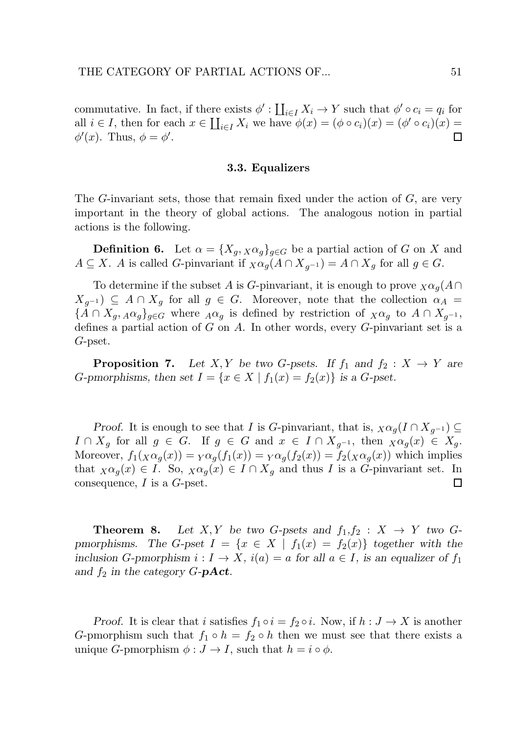commutative. In fact, if there exists  $\phi' : \coprod_{i \in I} X_i \to Y$  such that  $\phi' \circ c_i = q_i$  for all  $i \in I$ , then for each  $x \in \prod_{i \in I} X_i$  we have  $\phi(x) = (\phi \circ c_i)(x) = (\phi' \circ c_i)(x) =$  $\phi'(x)$ . Thus,  $\phi = \phi'$ .  $\Box$ 

#### 3.3. Equalizers

The  $G$ -invariant sets, those that remain fixed under the action of  $G$ , are very important in the theory of global actions. The analogous notion in partial actions is the following.

**Definition 6.** Let  $\alpha = \{X_q, X_{\alpha_q}\}_{q \in G}$  be a partial action of G on X and  $A \subseteq X$ . A is called G-pinvariant if  $\chi \alpha_g(A \cap X_{g^{-1}}) = A \cap X_g$  for all  $g \in G$ .

To determine if the subset A is G-pinvariant, it is enough to prove  $\chi \alpha_q(A \cap$  $X_{g^{-1}}$   $\subseteq$  A  $\cap$   $X_g$  for all  $g \in G$ . Moreover, note that the collection  $\alpha_A$  =  ${\overline{A} \cap X_q, A\alpha_q}_{q \in G}$  where  $A\alpha_q$  is defined by restriction of  $\chi \alpha_q$  to  $A \cap X_{q^{-1}},$ defines a partial action of  $G$  on  $A$ . In other words, every  $G$ -pinvariant set is a G-pset.

**Proposition 7.** Let X, Y be two G-psets. If  $f_1$  and  $f_2 : X \to Y$  are *G*-pmorphisms, then set  $I = \{x \in X \mid f_1(x) = f_2(x)\}\$ is a *G*-pset.

*Proof.* It is enough to see that *I* is *G*-pinvariant, that is,  $\chi \alpha_g (I \cap X_{g^{-1}}) \subseteq$  $I \cap X_g$  for all  $g \in G$ . If  $g \in G$  and  $x \in I \cap X_{g^{-1}}$ , then  $\chi \alpha_g(x) \in X_g$ . Moreover,  $f_1(x\alpha_g(x)) = Y\alpha_g(f_1(x)) = Y\alpha_g(f_2(x)) = f_2(x\alpha_g(x))$  which implies that  $\chi \alpha_q(x) \in I$ . So,  $\chi \alpha_q(x) \in I \cap X_q$  and thus I is a G-pinvariant set. In consequence,  $I$  is a  $G$ -pset. 囗

**Theorem 8.** Let X, Y be two G-psets and  $f_1, f_2 : X \rightarrow Y$  two G*pmorphisms.* The G-pset  $I = \{x \in X \mid f_1(x) = f_2(x)\}\$  together with the *inclusion* G-pmorphism  $i: I \to X$ ,  $i(a) = a$  for all  $a \in I$ , is an equalizer of  $f_1$ and  $f_2$  *in the category*  $G$ -**pAct**.

*Proof.* It is clear that i satisfies  $f_1 \circ i = f_2 \circ i$ . Now, if  $h : J \to X$  is another G-pmorphism such that  $f_1 \circ h = f_2 \circ h$  then we must see that there exists a unique G-pmorphism  $\phi: J \to I$ , such that  $h = i \circ \phi$ .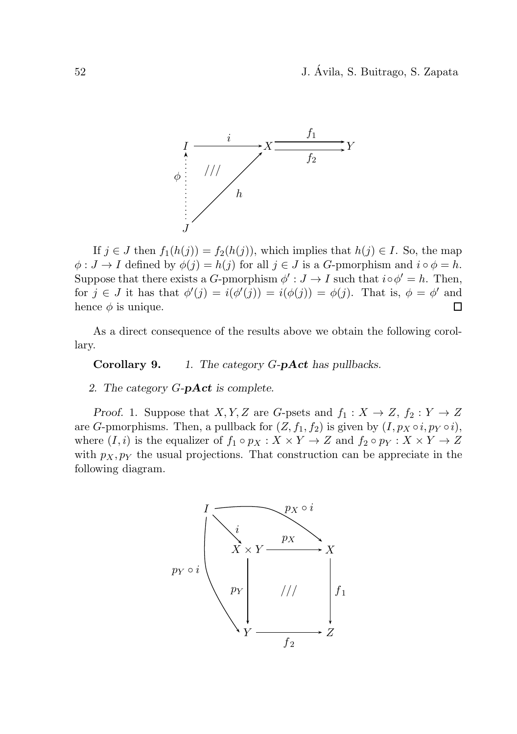52 J. Avila, S. Buitrago, S. Zapata ´



If  $j \in J$  then  $f_1(h(j)) = f_2(h(j))$ , which implies that  $h(j) \in I$ . So, the map  $\phi: J \to I$  defined by  $\phi(j) = h(j)$  for all  $j \in J$  is a G-pmorphism and  $i \circ \phi = h$ . Suppose that there exists a G-pmorphism  $\phi' : J \to I$  such that  $i \circ \phi' = h$ . Then, for  $j \in J$  it has that  $\phi'(j) = i(\phi'(j)) = i(\phi(j)) = \phi(j)$ . That is,  $\phi = \phi'$  and hence  $\phi$  is unique. 囗

As a direct consequence of the results above we obtain the following corollary.

Corollary 9. *1. The category* G*-*pAct *has pullbacks.*

*2. The category* G*-*pAct *is complete.*

*Proof.* 1. Suppose that  $X, Y, Z$  are G-psets and  $f_1 : X \to Z, f_2 : Y \to Z$ are G-pmorphisms. Then, a pullback for  $(Z, f_1, f_2)$  is given by  $(I, p_X \circ i, p_Y \circ i)$ , where  $(I, i)$  is the equalizer of  $f_1 \circ p_X : X \times Y \to Z$  and  $f_2 \circ p_Y : X \times Y \to Z$ with  $p_X, p_Y$  the usual projections. That construction can be appreciate in the following diagram.

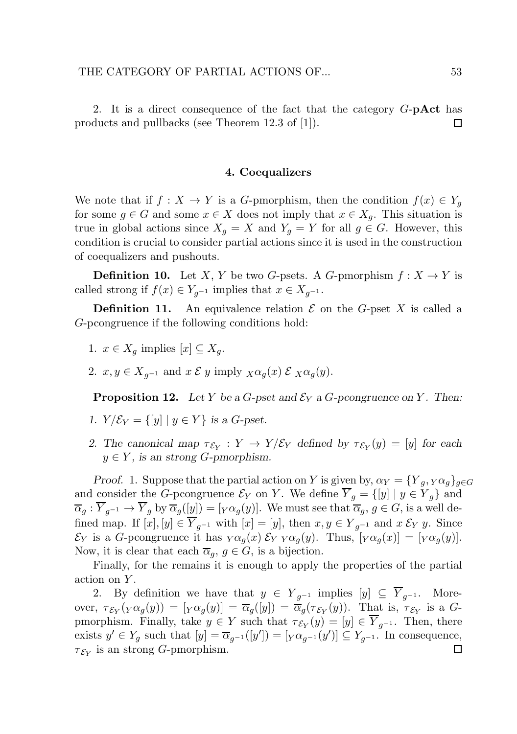2. It is a direct consequence of the fact that the category  $G$ -**pAct** has products and pullbacks (see Theorem 12.3 of [1]).  $\Box$ 

#### 4. Coequalizers

We note that if  $f: X \to Y$  is a G-pmorphism, then the condition  $f(x) \in Y_q$ for some  $g \in G$  and some  $x \in X$  does not imply that  $x \in X_q$ . This situation is true in global actions since  $X_g = X$  and  $Y_g = Y$  for all  $g \in G$ . However, this condition is crucial to consider partial actions since it is used in the construction of coequalizers and pushouts.

**Definition 10.** Let X, Y be two G-psets. A G-pmorphism  $f: X \to Y$  is called strong if  $f(x) \in Y_{q^{-1}}$  implies that  $x \in X_{q^{-1}}$ .

**Definition 11.** An equivalence relation  $\mathcal E$  on the G-pset X is called a G-pcongruence if the following conditions hold:

- 1.  $x \in X_q$  implies  $[x] \subseteq X_q$ .
- 2.  $x, y \in X_{g^{-1}}$  and  $x \mathcal{E} y$  imply  $\chi \alpha_g(x) \mathcal{E} \chi \alpha_g(y)$ .

**Proposition 12.** Let Y be a G-pset and  $\mathcal{E}_Y$  a G-pcongruence on Y. Then:

- *1.*  $Y/\mathcal{E}_Y = \{ [y] \mid y \in Y \}$  *is a G-pset.*
- 2. The canonical map  $\tau_{\mathcal{E}_Y} : Y \to Y/\mathcal{E}_Y$  defined by  $\tau_{\mathcal{E}_Y}(y) = [y]$  for each  $y \in Y$ , is an strong *G*-pmorphism.

*Proof.* 1. Suppose that the partial action on Y is given by,  $\alpha_Y = \{Y_q, Y \alpha_q\}_{q \in G}$ and consider the G-pcongruence  $\mathcal{E}_Y$  on Y. We define  $\overline{Y}_g = \{[y] \mid y \in Y_g\}$  and  $\overline{\alpha}_g : \overline{Y}_{g^{-1}} \to \overline{Y}_g$  by  $\overline{\alpha}_g([y]) = [Y \alpha_g(y)]$ . We must see that  $\overline{\alpha}_g, g \in G$ , is a well defined map. If  $[x], [y] \in \overline{Y}_{q^{-1}}$  with  $[x] = [y]$ , then  $x, y \in Y_{q^{-1}}$  and  $x \mathcal{E}_Y y$ . Since  $\mathcal{E}_Y$  is a G-pcongruence it has  $_Y\alpha_q(x) \mathcal{E}_Y Y \alpha_q(y)$ . Thus,  $[\gamma \alpha_q(x)] = [\gamma \alpha_q(y)]$ . Now, it is clear that each  $\overline{\alpha}_q$ ,  $g \in G$ , is a bijection.

Finally, for the remains it is enough to apply the properties of the partial action on Y.

2. By definition we have that  $y \in Y_{q^{-1}}$  implies  $[y] \subseteq \overline{Y}_{q^{-1}}$ . Moreover,  $\tau_{\mathcal{E}_Y}(\gamma \alpha_g(y)) = [\gamma \alpha_g(y)] = \overline{\alpha}_g([y]) = \overline{\alpha}_g(\tau_{\mathcal{E}_Y}(y))$ . That is,  $\tau_{\mathcal{E}_Y}$  is a Gpmorphism. Finally, take  $y \in Y$  such that  $\tau_{\mathcal{E}_Y}(y) = [y] \in Y_{g^{-1}}$ . Then, there exists  $y' \in Y_g$  such that  $[y] = \overline{\alpha}_{g^{-1}}([y']) = [Y \alpha_{g^{-1}}(y')] \subseteq Y_{g^{-1}}$ . In consequence,  $\tau_{\mathcal{E}_Y}$  is an strong G-pmorphism.  $\Box$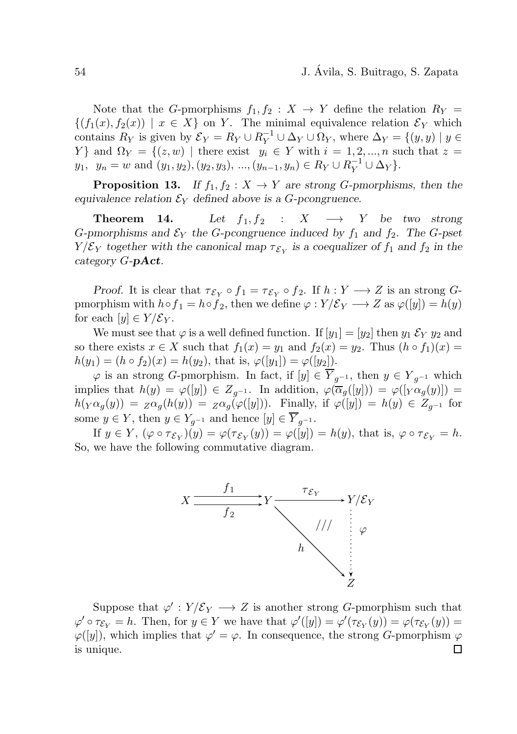Note that the G-pmorphisms  $f_1, f_2 : X \to Y$  define the relation  $R_Y =$  $\{(f_1(x), f_2(x)) | x \in X\}$  on Y. The minimal equivalence relation  $\mathcal{E}_Y$  which contains  $R_Y$  is given by  $\mathcal{E}_Y = R_Y \cup R_Y^{-1} \cup \Delta_Y \cup \Omega_Y$ , where  $\Delta_Y = \{(y, y) \mid y \in Y\}$ Y } and  $\Omega_Y = \{(z, w) \mid \text{there exist} \quad y_i \in Y \text{ with } i = 1, 2, ..., n \text{ such that } z =$  $y_1, y_n = w$  and  $(y_1, y_2), (y_2, y_3), ..., (y_{n-1}, y_n) \in R_Y \cup R_Y^{-1} \cup \Delta_Y$ .

**Proposition 13.** *If*  $f_1, f_2 : X \to Y$  *are strong G-pmorphisms, then the equivalence relation*  $\mathcal{E}_Y$  *defined above is a G-pcongruence.* 

**Theorem 14.** Let  $f_1, f_2 : X \longrightarrow Y$  be two strong G-pmorphisms and  $\mathcal{E}_Y$  the G-pcongruence induced by  $f_1$  and  $f_2$ . The G-pset  $Y/\mathcal{E}_Y$  together with the canonical map  $\tau_{\mathcal{E}_Y}$  is a coequalizer of  $f_1$  and  $f_2$  in the *category* G*-*pAct*.*

*Proof.* It is clear that  $\tau_{\mathcal{E}_Y} \circ f_1 = \tau_{\mathcal{E}_Y} \circ f_2$ . If  $h: Y \longrightarrow Z$  is an strong Gpmorphism with  $h \circ f_1 = h \circ f_2$ , then we define  $\varphi : Y/\mathcal{E}_Y \longrightarrow Z$  as  $\varphi([y]) = h(y)$ for each  $[y] \in Y/\mathcal{E}_Y$ .

We must see that  $\varphi$  is a well defined function. If  $[y_1] = [y_2]$  then  $y_1 \mathcal{E}_Y y_2$  and so there exists  $x \in X$  such that  $f_1(x) = y_1$  and  $f_2(x) = y_2$ . Thus  $(h \circ f_1)(x) =$  $h(y_1) = (h \circ f_2)(x) = h(y_2)$ , that is,  $\varphi([y_1]) = \varphi([y_2])$ .

 $\varphi$  is an strong G-pmorphism. In fact, if  $[y] \in \overline{Y}_{q^{-1}}$ , then  $y \in Y_{q^{-1}}$  which implies that  $h(y) = \varphi([y]) \in Z_{q^{-1}}$ . In addition,  $\varphi(\overline{\alpha}_g([y])) = \varphi([y \alpha_g(y)])$  $h(\gamma \alpha_g(y)) = z \alpha_g(h(y)) = z \alpha_g(\varphi([y]))$ . Finally, if  $\varphi([y]) = h(y) \in Z_{q^{-1}}$  for some  $y \in Y$ , then  $y \in Y_{q^{-1}}$  and hence  $[y] \in \overline{Y}_{q^{-1}}$ .

If  $y \in Y$ ,  $(\varphi \circ \tau_{\mathcal{E}_Y})(y) = \varphi(\tau_{\mathcal{E}_Y}(y)) = \varphi([y]) = h(y)$ , that is,  $\varphi \circ \tau_{\mathcal{E}_Y} = h$ . So, we have the following commutative diagram.



Suppose that  $\varphi' : Y/\mathcal{E}_Y \longrightarrow Z$  is another strong G-pmorphism such that  $\varphi' \circ \tau_{\mathcal{E}_Y} = h$ . Then, for  $y \in Y$  we have that  $\varphi'([y]) = \varphi'(\tau_{\mathcal{E}_Y}(y)) = \varphi(\tau_{\mathcal{E}_Y}(y)) =$  $\varphi([y])$ , which implies that  $\varphi' = \varphi$ . In consequence, the strong G-pmorphism  $\varphi$ is unique.囗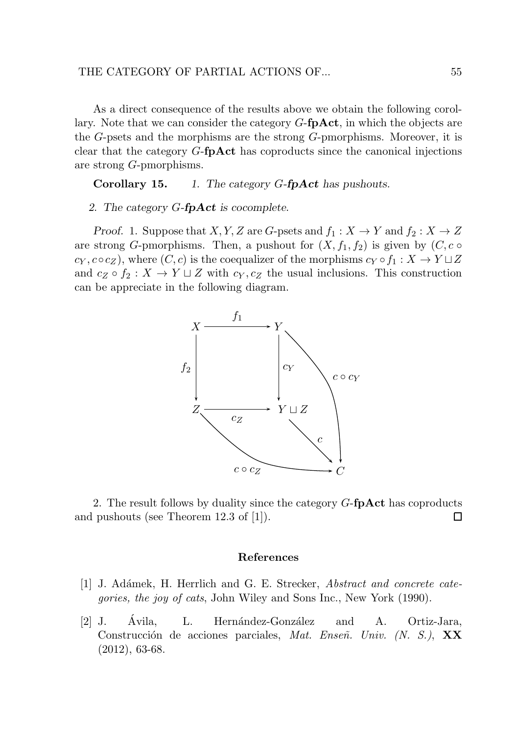As a direct consequence of the results above we obtain the following corollary. Note that we can consider the category  $G$ -fp $Act$ , in which the objects are the G-psets and the morphisms are the strong G-pmorphisms. Moreover, it is clear that the category G-fpAct has coproducts since the canonical injections are strong G-pmorphisms.

Corollary 15. *1. The category* G*-*fpAct *has pushouts.*

#### *2. The category* G*-*fpAct *is cocomplete.*

*Proof.* 1. Suppose that  $X, Y, Z$  are G-psets and  $f_1: X \to Y$  and  $f_2: X \to Z$ are strong G-pmorphisms. Then, a pushout for  $(X, f_1, f_2)$  is given by  $(C, c \circ$  $c_Y, c \circ c_Z$ ), where  $(C, c)$  is the coequalizer of the morphisms  $c_Y \circ f_1 : X \to Y \sqcup Z$ and  $c_Z \circ f_2 : X \to Y \sqcup Z$  with  $c_Y, c_Z$  the usual inclusions. This construction can be appreciate in the following diagram.



2. The result follows by duality since the category  $G$ -fpAct has coproducts and pushouts (see Theorem 12.3 of [1]). 口

#### References

- [1] J. Ad´amek, H. Herrlich and G. E. Strecker, Abstract and concrete categories, the joy of cats, John Wiley and Sons Inc., New York (1990).
- [2] J. Avila, L. Hernández-González and A. Ortiz-Jara, Construcción de acciones parciales, Mat. Enseñ. Univ. (N. S.), XX (2012), 63-68.